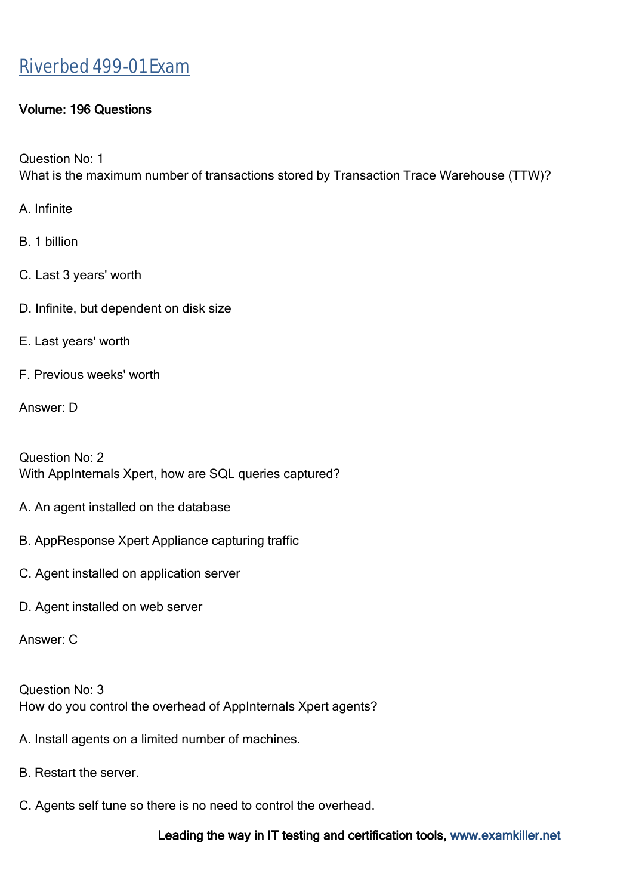### Volume: 196 Questions

Question No: 1 What is the maximum number of transactions stored by Transaction Trace Warehouse (TTW)?

A. Infinite

B. 1 billion

- C. Last 3 years' worth
- D. Infinite, but dependent on disk size
- E. Last years' worth
- F. Previous weeks' worth

Answer: D

Question No: 2 With AppInternals Xpert, how are SQL queries captured?

- A. An agent installed on the database
- B. AppResponse Xpert Appliance capturing traffic
- C. Agent installed on application server
- D. Agent installed on web server

Answer: C

Question No: 3 How do you control the overhead of AppInternals Xpert agents?

- A. Install agents on a limited number of machines.
- B. Restart the server.
- C. Agents self tune so there is no need to control the overhead.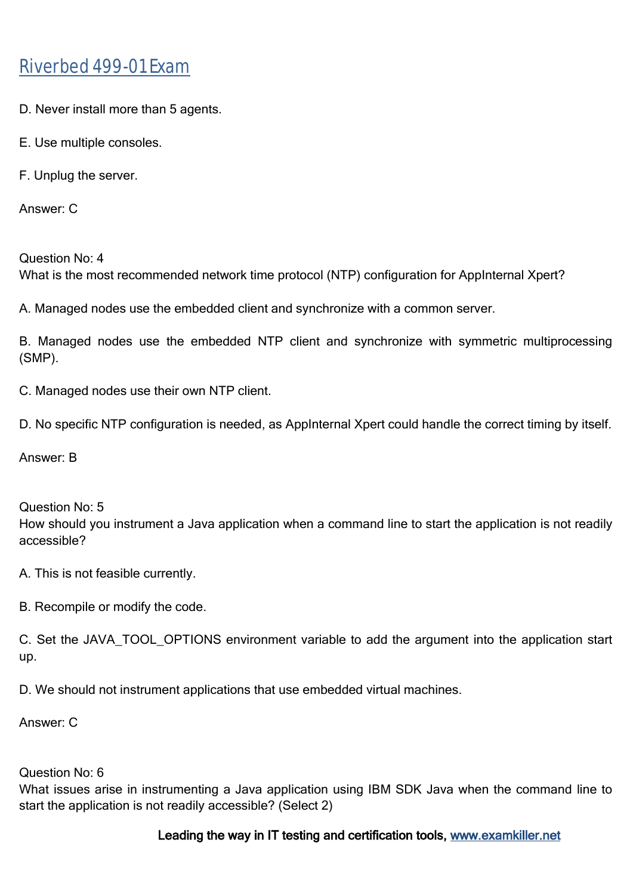- D. Never install more than 5 agents.
- E. Use multiple consoles.
- F. Unplug the server.

Answer: C

Question No: 4 What is the most recommended network time protocol (NTP) configuration for AppInternal Xpert?

A. Managed nodes use the embedded client and synchronize with a common server.

B. Managed nodes use the embedded NTP client and synchronize with symmetric multiprocessing (SMP).

C. Managed nodes use their own NTP client.

D. No specific NTP configuration is needed, as AppInternal Xpert could handle the correct timing by itself.

Answer: B

Question No: 5 How should you instrument a Java application when a command line to start the application is not readily accessible?

A. This is not feasible currently.

B. Recompile or modify the code.

C. Set the JAVA\_TOOL\_OPTIONS environment variable to add the argument into the application start up.

D. We should not instrument applications that use embedded virtual machines.

Answer: C

#### Question No: 6

What issues arise in instrumenting a Java application using IBM SDK Java when the command line to start the application is not readily accessible? (Select 2)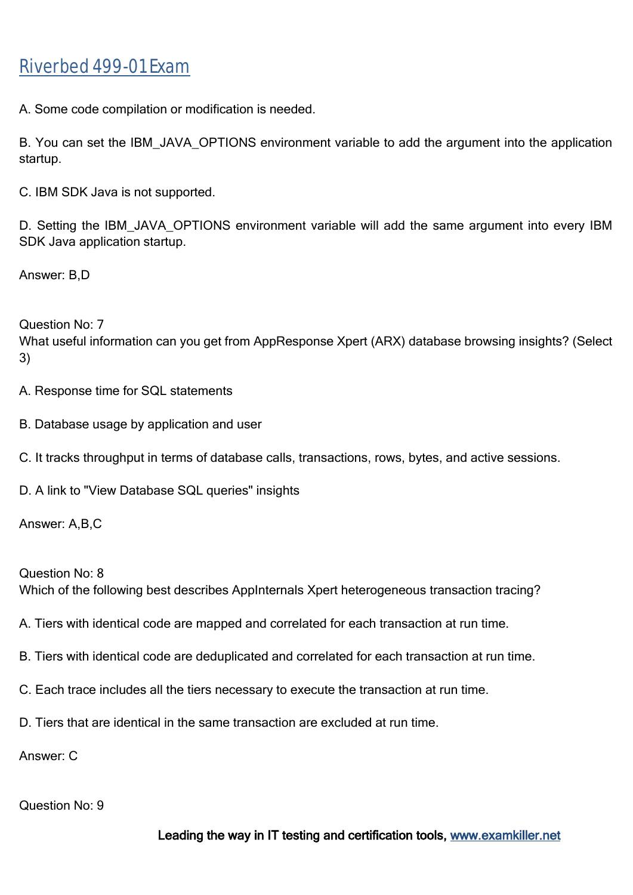A. Some code compilation or modification is needed.

B. You can set the IBM JAVA OPTIONS environment variable to add the argument into the application startup.

C. IBM SDK Java is not supported.

D. Setting the IBM JAVA OPTIONS environment variable will add the same argument into every IBM SDK Java application startup.

Answer: B,D

Question No: 7

What useful information can you get from AppResponse Xpert (ARX) database browsing insights? (Select 3)

A. Response time for SQL statements

- B. Database usage by application and user
- C. It tracks throughput in terms of database calls, transactions, rows, bytes, and active sessions.
- D. A link to "View Database SQL queries" insights

Answer: A,B,C

Question No: 8 Which of the following best describes AppInternals Xpert heterogeneous transaction tracing?

- A. Tiers with identical code are mapped and correlated for each transaction at run time.
- B. Tiers with identical code are deduplicated and correlated for each transaction at run time.
- C. Each trace includes all the tiers necessary to execute the transaction at run time.
- D. Tiers that are identical in the same transaction are excluded at run time.

Answer: C

Question No: 9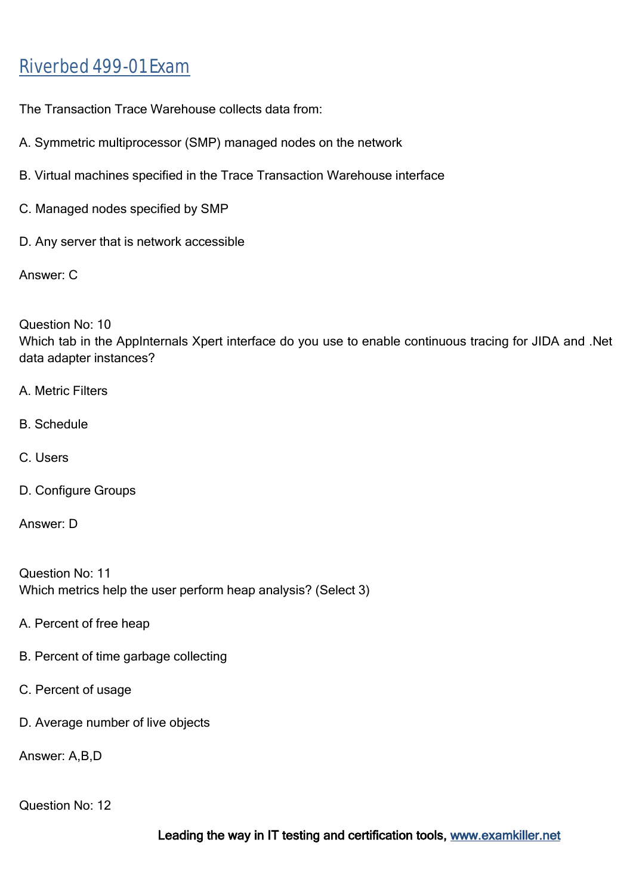The Transaction Trace Warehouse collects data from:

- A. Symmetric multiprocessor (SMP) managed nodes on the network
- B. Virtual machines specified in the Trace Transaction Warehouse interface
- C. Managed nodes specified by SMP
- D. Any server that is network accessible

Answer: C

Question No: 10 Which tab in the AppInternals Xpert interface do you use to enable continuous tracing for JIDA and .Net data adapter instances?

- A. Metric Filters
- B. Schedule
- C. Users
- D. Configure Groups

Answer: D

Question No: 11 Which metrics help the user perform heap analysis? (Select 3)

- A. Percent of free heap
- B. Percent of time garbage collecting
- C. Percent of usage
- D. Average number of live objects

Answer: A,B,D

Question No: 12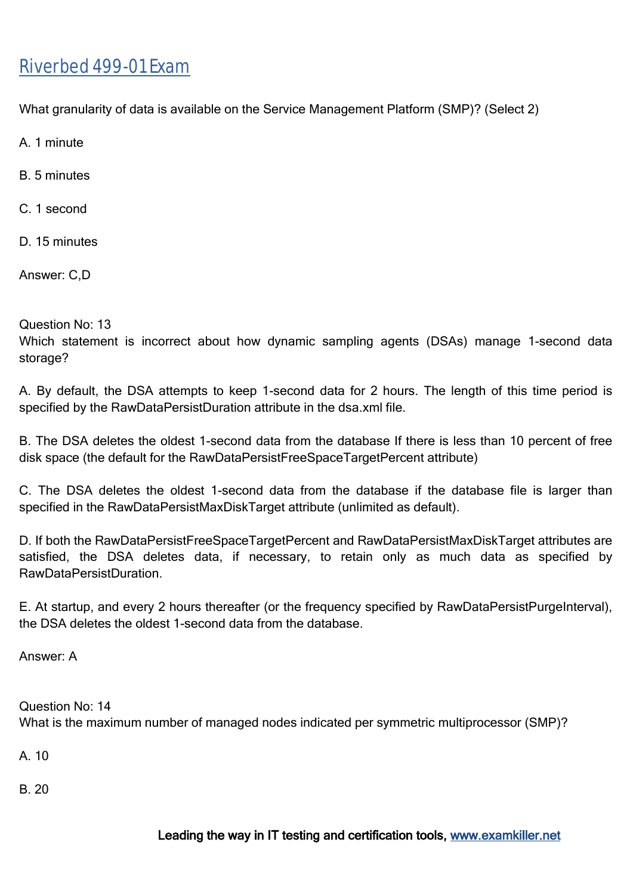What granularity of data is available on the Service Management Platform (SMP)? (Select 2)

A. 1 minute

B. 5 minutes

C. 1 second

D<sub>15</sub> minutes

Answer: C,D

Question No: 13

Which statement is incorrect about how dynamic sampling agents (DSAs) manage 1-second data storage?

A. By default, the DSA attempts to keep 1-second data for 2 hours. The length of this time period is specified by the RawDataPersistDuration attribute in the dsa.xml file.

B. The DSA deletes the oldest 1-second data from the database If there is less than 10 percent of free disk space (the default for the RawDataPersistFreeSpaceTargetPercent attribute)

C. The DSA deletes the oldest 1-second data from the database if the database file is larger than specified in the RawDataPersistMaxDiskTarget attribute (unlimited as default).

D. If both the RawDataPersistFreeSpaceTargetPercent and RawDataPersistMaxDiskTarget attributes are satisfied, the DSA deletes data, if necessary, to retain only as much data as specified by RawDataPersistDuration.

E. At startup, and every 2 hours thereafter (or the frequency specified by RawDataPersistPurgeInterval), the DSA deletes the oldest 1-second data from the database.

Answer: A

Question No: 14 What is the maximum number of managed nodes indicated per symmetric multiprocessor (SMP)?

A. 10

B. 20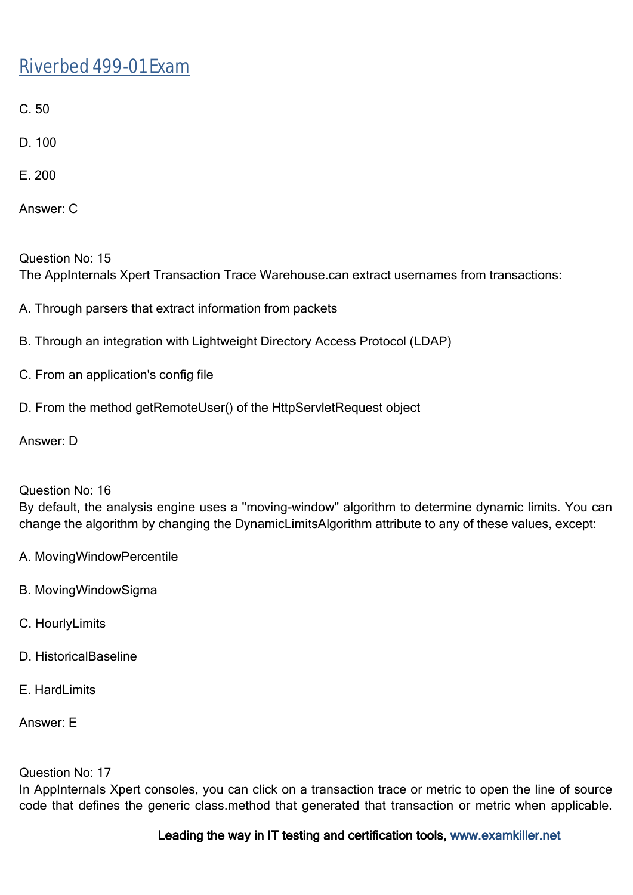- C. 50
- D. 100
- E. 200
- Answer: C

Question No: 15 The AppInternals Xpert Transaction Trace Warehouse.can extract usernames from transactions:

- A. Through parsers that extract information from packets
- B. Through an integration with Lightweight Directory Access Protocol (LDAP)
- C. From an application's config file
- D. From the method getRemoteUser() of the HttpServletRequest object

Answer: D

### Question No: 16

By default, the analysis engine uses a "moving-window" algorithm to determine dynamic limits. You can change the algorithm by changing the DynamicLimitsAlgorithm attribute to any of these values, except:

- A. MovingWindowPercentile
- B. MovingWindowSigma
- C. HourlyLimits
- D. HistoricalBaseline
- F. HardLimits

Answer: E

#### Question No: 17

In AppInternals Xpert consoles, you can click on a transaction trace or metric to open the line of source code that defines the generic class.method that generated that transaction or metric when applicable.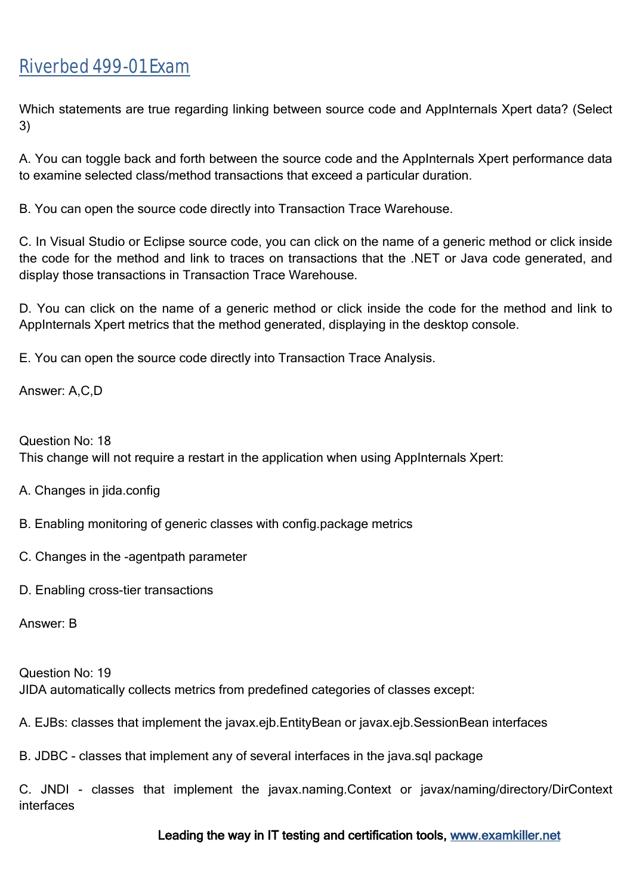Which statements are true regarding linking between source code and AppInternals Xpert data? (Select 3)

A. You can toggle back and forth between the source code and the AppInternals Xpert performance data to examine selected class/method transactions that exceed a particular duration.

B. You can open the source code directly into Transaction Trace Warehouse.

C. In Visual Studio or Eclipse source code, you can click on the name of a generic method or click inside the code for the method and link to traces on transactions that the .NET or Java code generated, and display those transactions in Transaction Trace Warehouse.

D. You can click on the name of a generic method or click inside the code for the method and link to AppInternals Xpert metrics that the method generated, displaying in the desktop console.

E. You can open the source code directly into Transaction Trace Analysis.

Answer: A,C,D

Question No: 18 This change will not require a restart in the application when using AppInternals Xpert:

- A. Changes in jida.config
- B. Enabling monitoring of generic classes with config.package metrics
- C. Changes in the -agentpath parameter
- D. Enabling cross-tier transactions

Answer: B

Question No: 19 JIDA automatically collects metrics from predefined categories of classes except:

A. EJBs: classes that implement the javax.ejb.EntityBean or javax.ejb.SessionBean interfaces

B. JDBC - classes that implement any of several interfaces in the java.sql package

C. JNDI - classes that implement the javax.naming.Context or javax/naming/directory/DirContext interfaces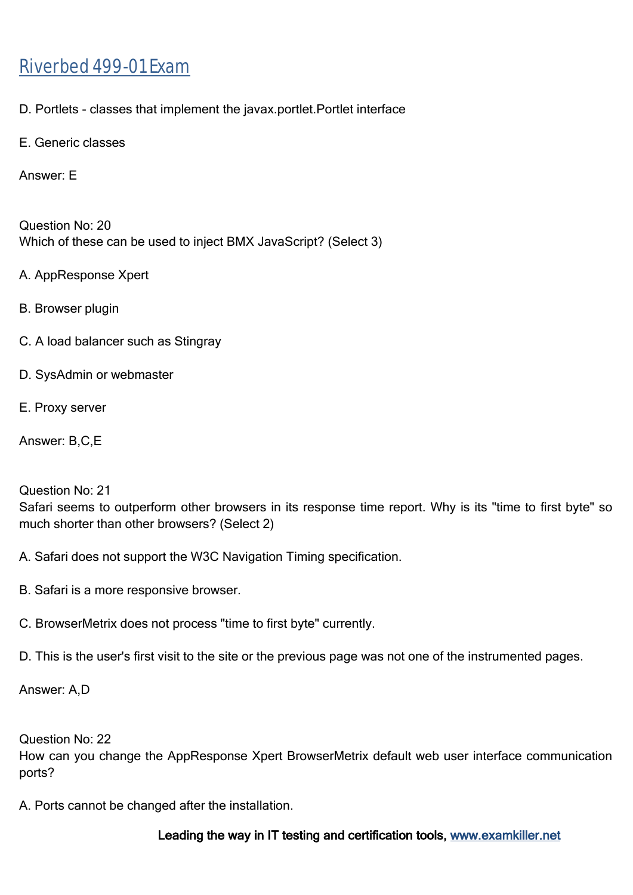D. Portlets - classes that implement the javax.portlet.Portlet interface

E. Generic classes

Answer: E

Question No: 20 Which of these can be used to inject BMX JavaScript? (Select 3)

A. AppResponse Xpert

B. Browser plugin

- C. A load balancer such as Stingray
- D. SysAdmin or webmaster
- E. Proxy server

Answer: B,C,E

Question No: 21

Safari seems to outperform other browsers in its response time report. Why is its "time to first byte" so much shorter than other browsers? (Select 2)

- A. Safari does not support the W3C Navigation Timing specification.
- B. Safari is a more responsive browser.
- C. BrowserMetrix does not process "time to first byte" currently.
- D. This is the user's first visit to the site or the previous page was not one of the instrumented pages.

Answer: A,D

Question No: 22

How can you change the AppResponse Xpert BrowserMetrix default web user interface communication ports?

A. Ports cannot be changed after the installation.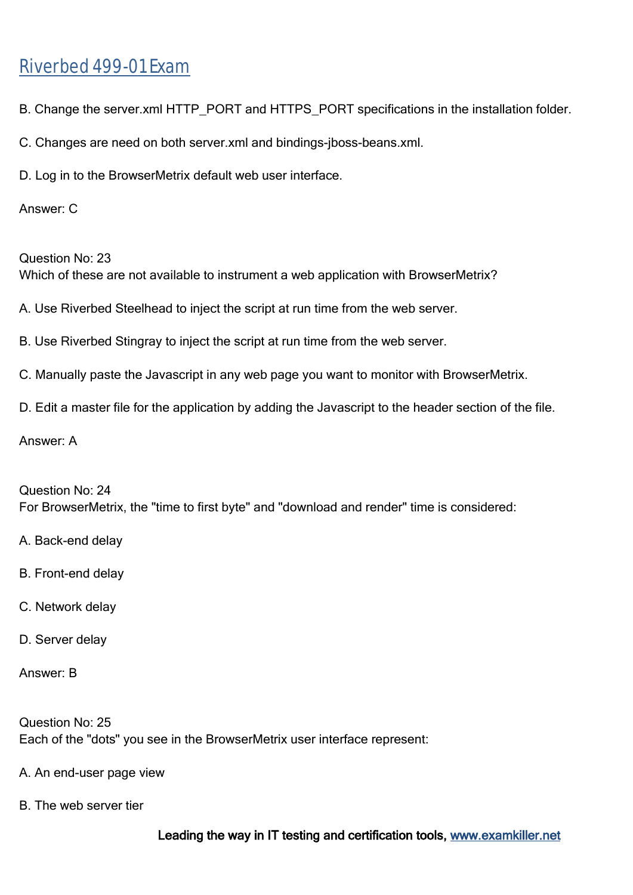- B. Change the server.xml HTTP\_PORT and HTTPS\_PORT specifications in the installation folder.
- C. Changes are need on both server.xml and bindings-jboss-beans.xml.
- D. Log in to the BrowserMetrix default web user interface.

### Answer: C

Question No: 23 Which of these are not available to instrument a web application with BrowserMetrix?

- A. Use Riverbed Steelhead to inject the script at run time from the web server.
- B. Use Riverbed Stingray to inject the script at run time from the web server.
- C. Manually paste the Javascript in any web page you want to monitor with BrowserMetrix.
- D. Edit a master file for the application by adding the Javascript to the header section of the file.

Answer: A

Question No: 24 For BrowserMetrix, the "time to first byte" and "download and render" time is considered:

- A. Back-end delay
- B. Front-end delay
- C. Network delay
- D. Server delay
- Answer: B

Question No: 25 Each of the "dots" you see in the BrowserMetrix user interface represent:

- A. An end-user page view
- B. The web server tier